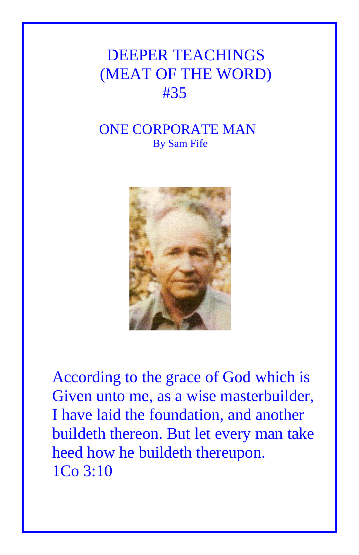## DEEPER TEACHINGS (MEAT OF THE WORD) #35

## ONE CORPORATE MAN By Sam Fife



According to the grace of God which is Given unto me, as a wise masterbuilder, I have laid the foundation, and another buildeth thereon. But let every man take heed how he buildeth thereupon. 1Co 3:10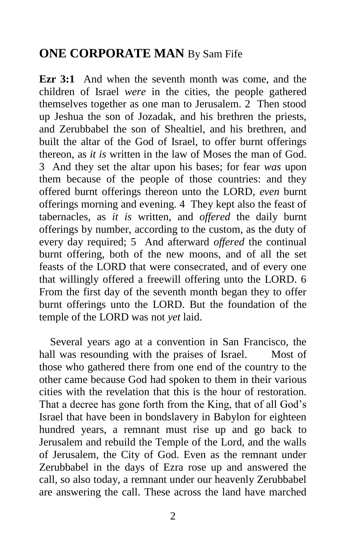## **ONE CORPORATE MAN** By Sam Fife

**Ezr 3:1** And when the seventh month was come, and the children of Israel *were* in the cities, the people gathered themselves together as one man to Jerusalem. 2 Then stood up Jeshua the son of Jozadak, and his brethren the priests, and Zerubbabel the son of Shealtiel, and his brethren, and built the altar of the God of Israel, to offer burnt offerings thereon, as *it is* written in the law of Moses the man of God. 3 And they set the altar upon his bases; for fear *was* upon them because of the people of those countries: and they offered burnt offerings thereon unto the LORD, *even* burnt offerings morning and evening. 4 They kept also the feast of tabernacles, as *it is* written, and *offered* the daily burnt offerings by number, according to the custom, as the duty of every day required; 5 And afterward *offered* the continual burnt offering, both of the new moons, and of all the set feasts of the LORD that were consecrated, and of every one that willingly offered a freewill offering unto the LORD. 6 From the first day of the seventh month began they to offer burnt offerings unto the LORD. But the foundation of the temple of the LORD was not *yet* laid.

 Several years ago at a convention in San Francisco, the hall was resounding with the praises of Israel. Most of those who gathered there from one end of the country to the other came because God had spoken to them in their various cities with the revelation that this is the hour of restoration. That a decree has gone forth from the King, that of all God's Israel that have been in bondslavery in Babylon for eighteen hundred years, a remnant must rise up and go back to Jerusalem and rebuild the Temple of the Lord, and the walls of Jerusalem, the City of God. Even as the remnant under Zerubbabel in the days of Ezra rose up and answered the call, so also today, a remnant under our heavenly Zerubbabel are answering the call. These across the land have marched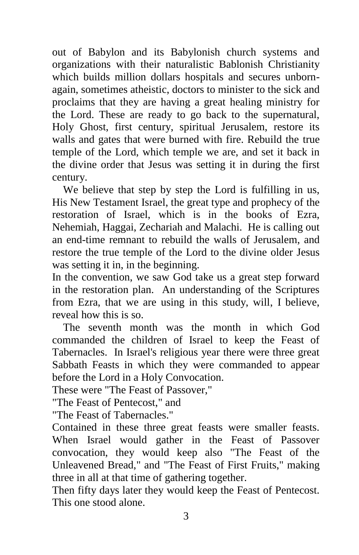out of Babylon and its Babylonish church systems and organizations with their naturalistic Bablonish Christianity which builds million dollars hospitals and secures unbornagain, sometimes atheistic, doctors to minister to the sick and proclaims that they are having a great healing ministry for the Lord. These are ready to go back to the supernatural, Holy Ghost, first century, spiritual Jerusalem, restore its walls and gates that were burned with fire. Rebuild the true temple of the Lord, which temple we are, and set it back in the divine order that Jesus was setting it in during the first century.

 We believe that step by step the Lord is fulfilling in us, His New Testament Israel, the great type and prophecy of the restoration of Israel, which is in the books of Ezra, Nehemiah, Haggai, Zechariah and Malachi. He is calling out an end-time remnant to rebuild the walls of Jerusalem, and restore the true temple of the Lord to the divine older Jesus was setting it in, in the beginning.

In the convention, we saw God take us a great step forward in the restoration plan. An understanding of the Scriptures from Ezra, that we are using in this study, will, I believe, reveal how this is so.

 The seventh month was the month in which God commanded the children of Israel to keep the Feast of Tabernacles. In Israel's religious year there were three great Sabbath Feasts in which they were commanded to appear before the Lord in a Holy Convocation.

These were "The Feast of Passover,"

"The Feast of Pentecost," and

"The Feast of Tabernacles."

Contained in these three great feasts were smaller feasts. When Israel would gather in the Feast of Passover convocation, they would keep also "The Feast of the Unleavened Bread," and "The Feast of First Fruits," making three in all at that time of gathering together.

Then fifty days later they would keep the Feast of Pentecost. This one stood alone.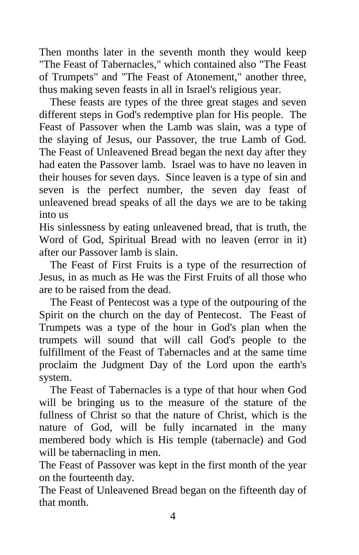Then months later in the seventh month they would keep "The Feast of Tabernacles," which contained also "The Feast of Trumpets" and "The Feast of Atonement," another three, thus making seven feasts in all in Israel's religious year.

 These feasts are types of the three great stages and seven different steps in God's redemptive plan for His people. The Feast of Passover when the Lamb was slain, was a type of the slaying of Jesus, our Passover, the true Lamb of God. The Feast of Unleavened Bread began the next day after they had eaten the Passover lamb. Israel was to have no leaven in their houses for seven days. Since leaven is a type of sin and seven is the perfect number, the seven day feast of unleavened bread speaks of all the days we are to be taking into us

His sinlessness by eating unleavened bread, that is truth, the Word of God, Spiritual Bread with no leaven (error in it) after our Passover lamb is slain.

 The Feast of First Fruits is a type of the resurrection of Jesus, in as much as He was the First Fruits of all those who are to be raised from the dead.

 The Feast of Pentecost was a type of the outpouring of the Spirit on the church on the day of Pentecost. The Feast of Trumpets was a type of the hour in God's plan when the trumpets will sound that will call God's people to the fulfillment of the Feast of Tabernacles and at the same time proclaim the Judgment Day of the Lord upon the earth's system.

 The Feast of Tabernacles is a type of that hour when God will be bringing us to the measure of the stature of the fullness of Christ so that the nature of Christ, which is the nature of God, will be fully incarnated in the many membered body which is His temple (tabernacle) and God will be tabernacling in men.

The Feast of Passover was kept in the first month of the year on the fourteenth day.

The Feast of Unleavened Bread began on the fifteenth day of that month.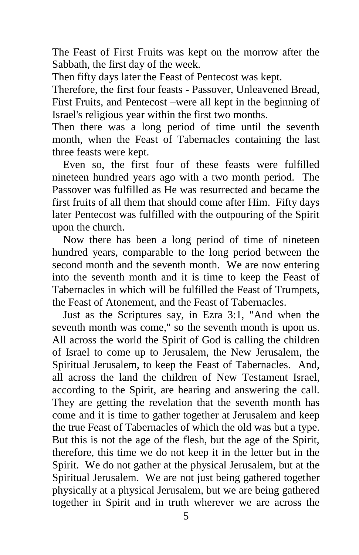The Feast of First Fruits was kept on the morrow after the Sabbath, the first day of the week.

Then fifty days later the Feast of Pentecost was kept.

Therefore, the first four feasts - Passover, Unleavened Bread, First Fruits, and Pentecost –were all kept in the beginning of Israel's religious year within the first two months.

Then there was a long period of time until the seventh month, when the Feast of Tabernacles containing the last three feasts were kept.

 Even so, the first four of these feasts were fulfilled nineteen hundred years ago with a two month period. The Passover was fulfilled as He was resurrected and became the first fruits of all them that should come after Him. Fifty days later Pentecost was fulfilled with the outpouring of the Spirit upon the church.

 Now there has been a long period of time of nineteen hundred years, comparable to the long period between the second month and the seventh month. We are now entering into the seventh month and it is time to keep the Feast of Tabernacles in which will be fulfilled the Feast of Trumpets, the Feast of Atonement, and the Feast of Tabernacles.

 Just as the Scriptures say, in Ezra 3:1, "And when the seventh month was come," so the seventh month is upon us. All across the world the Spirit of God is calling the children of Israel to come up to Jerusalem, the New Jerusalem, the Spiritual Jerusalem, to keep the Feast of Tabernacles. And, all across the land the children of New Testament Israel, according to the Spirit, are hearing and answering the call. They are getting the revelation that the seventh month has come and it is time to gather together at Jerusalem and keep the true Feast of Tabernacles of which the old was but a type. But this is not the age of the flesh, but the age of the Spirit, therefore, this time we do not keep it in the letter but in the Spirit. We do not gather at the physical Jerusalem, but at the Spiritual Jerusalem. We are not just being gathered together physically at a physical Jerusalem, but we are being gathered together in Spirit and in truth wherever we are across the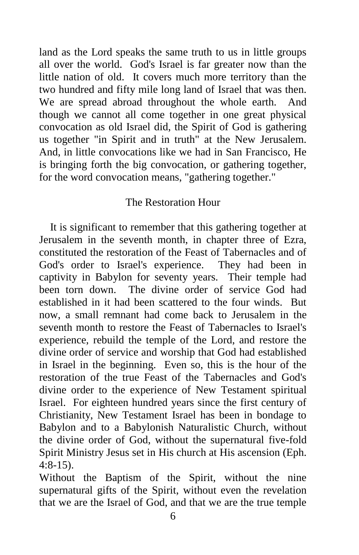land as the Lord speaks the same truth to us in little groups all over the world. God's Israel is far greater now than the little nation of old. It covers much more territory than the two hundred and fifty mile long land of Israel that was then. We are spread abroad throughout the whole earth. And though we cannot all come together in one great physical convocation as old Israel did, the Spirit of God is gathering us together "in Spirit and in truth" at the New Jerusalem. And, in little convocations like we had in San Francisco, He is bringing forth the big convocation, or gathering together, for the word convocation means, "gathering together."

## The Restoration Hour

 It is significant to remember that this gathering together at Jerusalem in the seventh month, in chapter three of Ezra, constituted the restoration of the Feast of Tabernacles and of God's order to Israel's experience. They had been in captivity in Babylon for seventy years. Their temple had been torn down. The divine order of service God had established in it had been scattered to the four winds. But now, a small remnant had come back to Jerusalem in the seventh month to restore the Feast of Tabernacles to Israel's experience, rebuild the temple of the Lord, and restore the divine order of service and worship that God had established in Israel in the beginning. Even so, this is the hour of the restoration of the true Feast of the Tabernacles and God's divine order to the experience of New Testament spiritual Israel. For eighteen hundred years since the first century of Christianity, New Testament Israel has been in bondage to Babylon and to a Babylonish Naturalistic Church, without the divine order of God, without the supernatural five-fold Spirit Ministry Jesus set in His church at His ascension (Eph. 4:8-15).

Without the Baptism of the Spirit, without the nine supernatural gifts of the Spirit, without even the revelation that we are the Israel of God, and that we are the true temple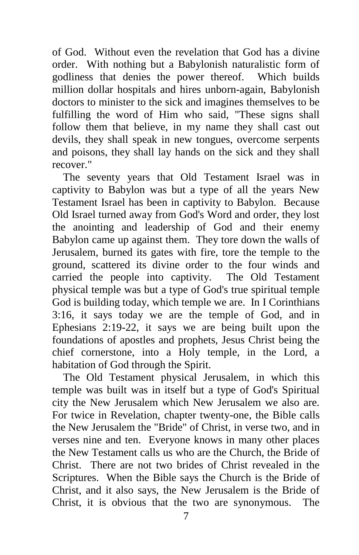of God. Without even the revelation that God has a divine order. With nothing but a Babylonish naturalistic form of godliness that denies the power thereof. Which builds million dollar hospitals and hires unborn-again, Babylonish doctors to minister to the sick and imagines themselves to be fulfilling the word of Him who said, "These signs shall follow them that believe, in my name they shall cast out devils, they shall speak in new tongues, overcome serpents and poisons, they shall lay hands on the sick and they shall recover."

 The seventy years that Old Testament Israel was in captivity to Babylon was but a type of all the years New Testament Israel has been in captivity to Babylon. Because Old Israel turned away from God's Word and order, they lost the anointing and leadership of God and their enemy Babylon came up against them. They tore down the walls of Jerusalem, burned its gates with fire, tore the temple to the ground, scattered its divine order to the four winds and carried the people into captivity. The Old Testament physical temple was but a type of God's true spiritual temple God is building today, which temple we are. In I Corinthians 3:16, it says today we are the temple of God, and in Ephesians 2:19-22, it says we are being built upon the foundations of apostles and prophets, Jesus Christ being the chief cornerstone, into a Holy temple, in the Lord, a habitation of God through the Spirit.

 The Old Testament physical Jerusalem, in which this temple was built was in itself but a type of God's Spiritual city the New Jerusalem which New Jerusalem we also are. For twice in Revelation, chapter twenty-one, the Bible calls the New Jerusalem the "Bride" of Christ, in verse two, and in verses nine and ten. Everyone knows in many other places the New Testament calls us who are the Church, the Bride of Christ. There are not two brides of Christ revealed in the Scriptures. When the Bible says the Church is the Bride of Christ, and it also says, the New Jerusalem is the Bride of Christ, it is obvious that the two are synonymous. The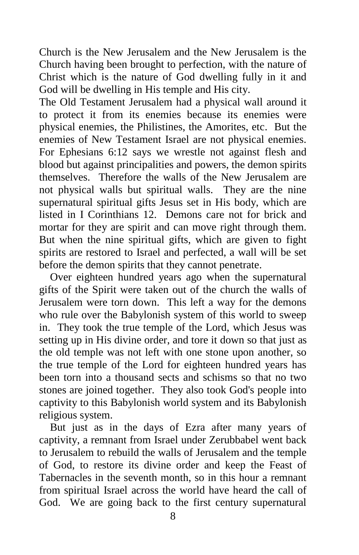Church is the New Jerusalem and the New Jerusalem is the Church having been brought to perfection, with the nature of Christ which is the nature of God dwelling fully in it and God will be dwelling in His temple and His city.

The Old Testament Jerusalem had a physical wall around it to protect it from its enemies because its enemies were physical enemies, the Philistines, the Amorites, etc. But the enemies of New Testament Israel are not physical enemies. For Ephesians 6:12 says we wrestle not against flesh and blood but against principalities and powers, the demon spirits themselves. Therefore the walls of the New Jerusalem are not physical walls but spiritual walls. They are the nine supernatural spiritual gifts Jesus set in His body, which are listed in I Corinthians 12. Demons care not for brick and mortar for they are spirit and can move right through them. But when the nine spiritual gifts, which are given to fight spirits are restored to Israel and perfected, a wall will be set before the demon spirits that they cannot penetrate.

 Over eighteen hundred years ago when the supernatural gifts of the Spirit were taken out of the church the walls of Jerusalem were torn down. This left a way for the demons who rule over the Babylonish system of this world to sweep in. They took the true temple of the Lord, which Jesus was setting up in His divine order, and tore it down so that just as the old temple was not left with one stone upon another, so the true temple of the Lord for eighteen hundred years has been torn into a thousand sects and schisms so that no two stones are joined together. They also took God's people into captivity to this Babylonish world system and its Babylonish religious system.

 But just as in the days of Ezra after many years of captivity, a remnant from Israel under Zerubbabel went back to Jerusalem to rebuild the walls of Jerusalem and the temple of God, to restore its divine order and keep the Feast of Tabernacles in the seventh month, so in this hour a remnant from spiritual Israel across the world have heard the call of God. We are going back to the first century supernatural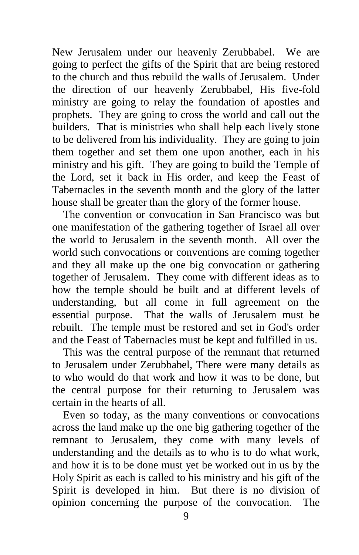New Jerusalem under our heavenly Zerubbabel. We are going to perfect the gifts of the Spirit that are being restored to the church and thus rebuild the walls of Jerusalem. Under the direction of our heavenly Zerubbabel, His five-fold ministry are going to relay the foundation of apostles and prophets. They are going to cross the world and call out the builders. That is ministries who shall help each lively stone to be delivered from his individuality. They are going to join them together and set them one upon another, each in his ministry and his gift. They are going to build the Temple of the Lord, set it back in His order, and keep the Feast of Tabernacles in the seventh month and the glory of the latter house shall be greater than the glory of the former house.

 The convention or convocation in San Francisco was but one manifestation of the gathering together of Israel all over the world to Jerusalem in the seventh month. All over the world such convocations or conventions are coming together and they all make up the one big convocation or gathering together of Jerusalem. They come with different ideas as to how the temple should be built and at different levels of understanding, but all come in full agreement on the essential purpose. That the walls of Jerusalem must be rebuilt. The temple must be restored and set in God's order and the Feast of Tabernacles must be kept and fulfilled in us.

 This was the central purpose of the remnant that returned to Jerusalem under Zerubbabel, There were many details as to who would do that work and how it was to be done, but the central purpose for their returning to Jerusalem was certain in the hearts of all.

 Even so today, as the many conventions or convocations across the land make up the one big gathering together of the remnant to Jerusalem, they come with many levels of understanding and the details as to who is to do what work, and how it is to be done must yet be worked out in us by the Holy Spirit as each is called to his ministry and his gift of the Spirit is developed in him. But there is no division of opinion concerning the purpose of the convocation. The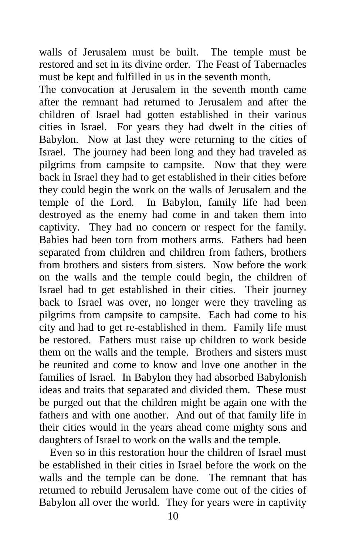walls of Jerusalem must be built. The temple must be restored and set in its divine order. The Feast of Tabernacles must be kept and fulfilled in us in the seventh month.

The convocation at Jerusalem in the seventh month came after the remnant had returned to Jerusalem and after the children of Israel had gotten established in their various cities in Israel. For years they had dwelt in the cities of Babylon. Now at last they were returning to the cities of Israel. The journey had been long and they had traveled as pilgrims from campsite to campsite. Now that they were back in Israel they had to get established in their cities before they could begin the work on the walls of Jerusalem and the temple of the Lord. In Babylon, family life had been destroyed as the enemy had come in and taken them into captivity. They had no concern or respect for the family. Babies had been torn from mothers arms. Fathers had been separated from children and children from fathers, brothers from brothers and sisters from sisters. Now before the work on the walls and the temple could begin, the children of Israel had to get established in their cities. Their journey back to Israel was over, no longer were they traveling as pilgrims from campsite to campsite. Each had come to his city and had to get re-established in them. Family life must be restored. Fathers must raise up children to work beside them on the walls and the temple. Brothers and sisters must be reunited and come to know and love one another in the families of Israel. In Babylon they had absorbed Babylonish ideas and traits that separated and divided them. These must be purged out that the children might be again one with the fathers and with one another. And out of that family life in their cities would in the years ahead come mighty sons and daughters of Israel to work on the walls and the temple.

 Even so in this restoration hour the children of Israel must be established in their cities in Israel before the work on the walls and the temple can be done. The remnant that has returned to rebuild Jerusalem have come out of the cities of Babylon all over the world. They for years were in captivity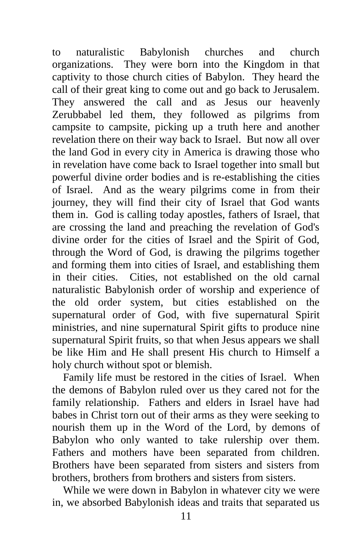to naturalistic Babylonish churches and church organizations. They were born into the Kingdom in that captivity to those church cities of Babylon. They heard the call of their great king to come out and go back to Jerusalem. They answered the call and as Jesus our heavenly Zerubbabel led them, they followed as pilgrims from campsite to campsite, picking up a truth here and another revelation there on their way back to Israel. But now all over the land God in every city in America is drawing those who in revelation have come back to Israel together into small but powerful divine order bodies and is re-establishing the cities of Israel. And as the weary pilgrims come in from their journey, they will find their city of Israel that God wants them in. God is calling today apostles, fathers of Israel, that are crossing the land and preaching the revelation of God's divine order for the cities of Israel and the Spirit of God, through the Word of God, is drawing the pilgrims together and forming them into cities of Israel, and establishing them in their cities. Cities, not established on the old carnal naturalistic Babylonish order of worship and experience of the old order system, but cities established on the supernatural order of God, with five supernatural Spirit ministries, and nine supernatural Spirit gifts to produce nine supernatural Spirit fruits, so that when Jesus appears we shall be like Him and He shall present His church to Himself a holy church without spot or blemish.

 Family life must be restored in the cities of Israel. When the demons of Babylon ruled over us they cared not for the family relationship. Fathers and elders in Israel have had babes in Christ torn out of their arms as they were seeking to nourish them up in the Word of the Lord, by demons of Babylon who only wanted to take rulership over them. Fathers and mothers have been separated from children. Brothers have been separated from sisters and sisters from brothers, brothers from brothers and sisters from sisters.

 While we were down in Babylon in whatever city we were in, we absorbed Babylonish ideas and traits that separated us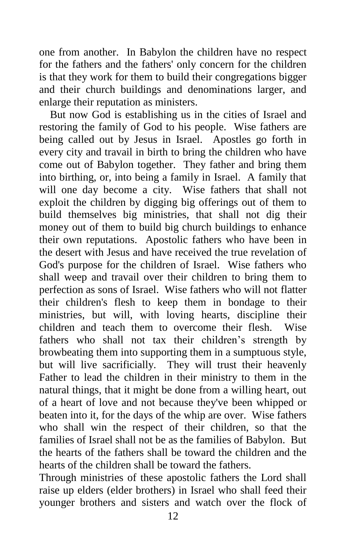one from another. In Babylon the children have no respect for the fathers and the fathers' only concern for the children is that they work for them to build their congregations bigger and their church buildings and denominations larger, and enlarge their reputation as ministers.

 But now God is establishing us in the cities of Israel and restoring the family of God to his people. Wise fathers are being called out by Jesus in Israel. Apostles go forth in every city and travail in birth to bring the children who have come out of Babylon together. They father and bring them into birthing, or, into being a family in Israel. A family that will one day become a city. Wise fathers that shall not exploit the children by digging big offerings out of them to build themselves big ministries, that shall not dig their money out of them to build big church buildings to enhance their own reputations. Apostolic fathers who have been in the desert with Jesus and have received the true revelation of God's purpose for the children of Israel. Wise fathers who shall weep and travail over their children to bring them to perfection as sons of Israel. Wise fathers who will not flatter their children's flesh to keep them in bondage to their ministries, but will, with loving hearts, discipline their children and teach them to overcome their flesh. Wise fathers who shall not tax their children's strength by browbeating them into supporting them in a sumptuous style, but will live sacrificially. They will trust their heavenly Father to lead the children in their ministry to them in the natural things, that it might be done from a willing heart, out of a heart of love and not because they've been whipped or beaten into it, for the days of the whip are over. Wise fathers who shall win the respect of their children, so that the families of Israel shall not be as the families of Babylon. But the hearts of the fathers shall be toward the children and the hearts of the children shall be toward the fathers.

Through ministries of these apostolic fathers the Lord shall raise up elders (elder brothers) in Israel who shall feed their younger brothers and sisters and watch over the flock of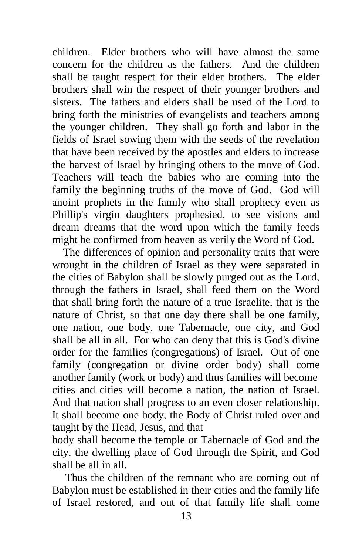children. Elder brothers who will have almost the same concern for the children as the fathers. And the children shall be taught respect for their elder brothers. The elder brothers shall win the respect of their younger brothers and sisters. The fathers and elders shall be used of the Lord to bring forth the ministries of evangelists and teachers among the younger children. They shall go forth and labor in the fields of Israel sowing them with the seeds of the revelation that have been received by the apostles and elders to increase the harvest of Israel by bringing others to the move of God. Teachers will teach the babies who are coming into the family the beginning truths of the move of God. God will anoint prophets in the family who shall prophecy even as Phillip's virgin daughters prophesied, to see visions and dream dreams that the word upon which the family feeds might be confirmed from heaven as verily the Word of God.

 The differences of opinion and personality traits that were wrought in the children of Israel as they were separated in the cities of Babylon shall be slowly purged out as the Lord, through the fathers in Israel, shall feed them on the Word that shall bring forth the nature of a true Israelite, that is the nature of Christ, so that one day there shall be one family, one nation, one body, one Tabernacle, one city, and God shall be all in all. For who can deny that this is God's divine order for the families (congregations) of Israel. Out of one family (congregation or divine order body) shall come another family (work or body) and thus families will become cities and cities will become a nation, the nation of Israel. And that nation shall progress to an even closer relationship. It shall become one body, the Body of Christ ruled over and taught by the Head, Jesus, and that

body shall become the temple or Tabernacle of God and the city, the dwelling place of God through the Spirit, and God shall be all in all.

Thus the children of the remnant who are coming out of Babylon must be established in their cities and the family life of Israel restored, and out of that family life shall come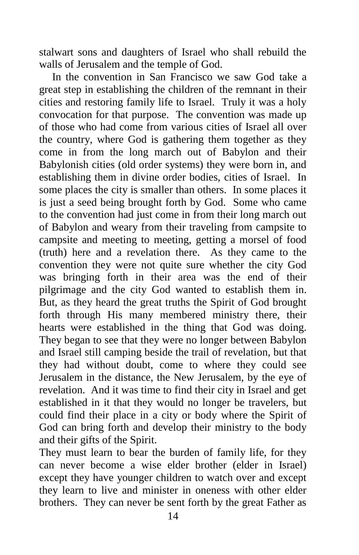stalwart sons and daughters of Israel who shall rebuild the walls of Jerusalem and the temple of God.

In the convention in San Francisco we saw God take a great step in establishing the children of the remnant in their cities and restoring family life to Israel. Truly it was a holy convocation for that purpose. The convention was made up of those who had come from various cities of Israel all over the country, where God is gathering them together as they come in from the long march out of Babylon and their Babylonish cities (old order systems) they were born in, and establishing them in divine order bodies, cities of Israel. In some places the city is smaller than others. In some places it is just a seed being brought forth by God. Some who came to the convention had just come in from their long march out of Babylon and weary from their traveling from campsite to campsite and meeting to meeting, getting a morsel of food (truth) here and a revelation there. As they came to the convention they were not quite sure whether the city God was bringing forth in their area was the end of their pilgrimage and the city God wanted to establish them in. But, as they heard the great truths the Spirit of God brought forth through His many membered ministry there, their hearts were established in the thing that God was doing. They began to see that they were no longer between Babylon and Israel still camping beside the trail of revelation, but that they had without doubt, come to where they could see Jerusalem in the distance, the New Jerusalem, by the eye of revelation. And it was time to find their city in Israel and get established in it that they would no longer be travelers, but could find their place in a city or body where the Spirit of God can bring forth and develop their ministry to the body and their gifts of the Spirit.

They must learn to bear the burden of family life, for they can never become a wise elder brother (elder in Israel) except they have younger children to watch over and except they learn to live and minister in oneness with other elder brothers. They can never be sent forth by the great Father as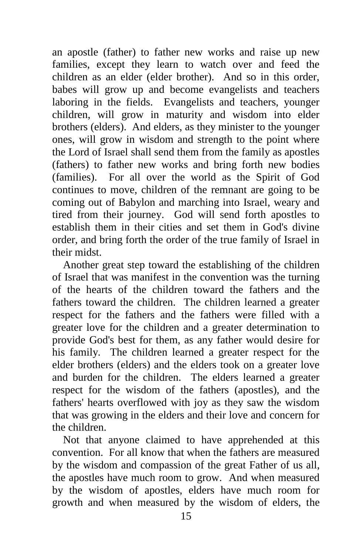an apostle (father) to father new works and raise up new families, except they learn to watch over and feed the children as an elder (elder brother). And so in this order, babes will grow up and become evangelists and teachers laboring in the fields. Evangelists and teachers, younger children, will grow in maturity and wisdom into elder brothers (elders). And elders, as they minister to the younger ones, will grow in wisdom and strength to the point where the Lord of Israel shall send them from the family as apostles (fathers) to father new works and bring forth new bodies (families). For all over the world as the Spirit of God continues to move, children of the remnant are going to be coming out of Babylon and marching into Israel, weary and tired from their journey. God will send forth apostles to establish them in their cities and set them in God's divine order, and bring forth the order of the true family of Israel in their midst.

 Another great step toward the establishing of the children of Israel that was manifest in the convention was the turning of the hearts of the children toward the fathers and the fathers toward the children. The children learned a greater respect for the fathers and the fathers were filled with a greater love for the children and a greater determination to provide God's best for them, as any father would desire for his family. The children learned a greater respect for the elder brothers (elders) and the elders took on a greater love and burden for the children. The elders learned a greater respect for the wisdom of the fathers (apostles), and the fathers' hearts overflowed with joy as they saw the wisdom that was growing in the elders and their love and concern for the children.

 Not that anyone claimed to have apprehended at this convention. For all know that when the fathers are measured by the wisdom and compassion of the great Father of us all, the apostles have much room to grow. And when measured by the wisdom of apostles, elders have much room for growth and when measured by the wisdom of elders, the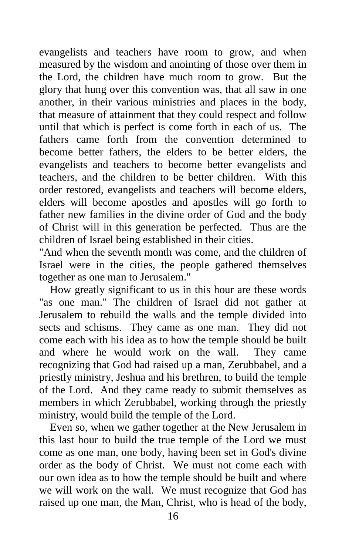evangelists and teachers have room to grow, and when measured by the wisdom and anointing of those over them in the Lord, the children have much room to grow. But the glory that hung over this convention was, that all saw in one another, in their various ministries and places in the body, that measure of attainment that they could respect and follow until that which is perfect is come forth in each of us. The fathers came forth from the convention determined to become better fathers, the elders to be better elders, the evangelists and teachers to become better evangelists and teachers, and the children to be better children. With this order restored, evangelists and teachers will become elders, elders will become apostles and apostles will go forth to father new families in the divine order of God and the body of Christ will in this generation be perfected. Thus are the children of Israel being established in their cities.

"And when the seventh month was come, and the children of Israel were in the cities, the people gathered themselves together as one man to Jerusalem."

 How greatly significant to us in this hour are these words "as one man." The children of Israel did not gather at Jerusalem to rebuild the walls and the temple divided into sects and schisms. They came as one man. They did not come each with his idea as to how the temple should be built<br>and where he would work on the wall. They came and where he would work on the wall. recognizing that God had raised up a man, Zerubbabel, and a priestly ministry, Jeshua and his brethren, to build the temple of the Lord. And they came ready to submit themselves as members in which Zerubbabel, working through the priestly ministry, would build the temple of the Lord.

 Even so, when we gather together at the New Jerusalem in this last hour to build the true temple of the Lord we must come as one man, one body, having been set in God's divine order as the body of Christ. We must not come each with our own idea as to how the temple should be built and where we will work on the wall. We must recognize that God has raised up one man, the Man, Christ, who is head of the body,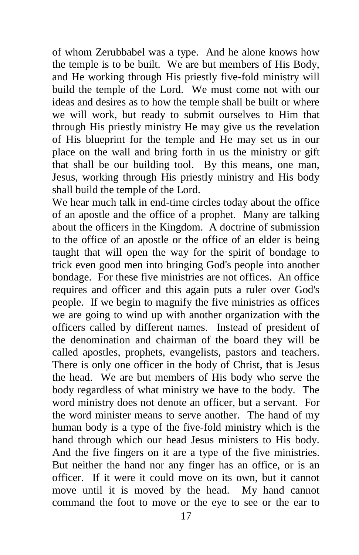of whom Zerubbabel was a type. And he alone knows how the temple is to be built. We are but members of His Body, and He working through His priestly five-fold ministry will build the temple of the Lord. We must come not with our ideas and desires as to how the temple shall be built or where we will work, but ready to submit ourselves to Him that through His priestly ministry He may give us the revelation of His blueprint for the temple and He may set us in our place on the wall and bring forth in us the ministry or gift that shall be our building tool. By this means, one man, Jesus, working through His priestly ministry and His body shall build the temple of the Lord.

We hear much talk in end-time circles today about the office of an apostle and the office of a prophet. Many are talking about the officers in the Kingdom. A doctrine of submission to the office of an apostle or the office of an elder is being taught that will open the way for the spirit of bondage to trick even good men into bringing God's people into another bondage. For these five ministries are not offices. An office requires and officer and this again puts a ruler over God's people. If we begin to magnify the five ministries as offices we are going to wind up with another organization with the officers called by different names. Instead of president of the denomination and chairman of the board they will be called apostles, prophets, evangelists, pastors and teachers. There is only one officer in the body of Christ, that is Jesus the head. We are but members of His body who serve the body regardless of what ministry we have to the body. The word ministry does not denote an officer, but a servant. For the word minister means to serve another. The hand of my human body is a type of the five-fold ministry which is the hand through which our head Jesus ministers to His body. And the five fingers on it are a type of the five ministries. But neither the hand nor any finger has an office, or is an officer. If it were it could move on its own, but it cannot move until it is moved by the head. My hand cannot command the foot to move or the eye to see or the ear to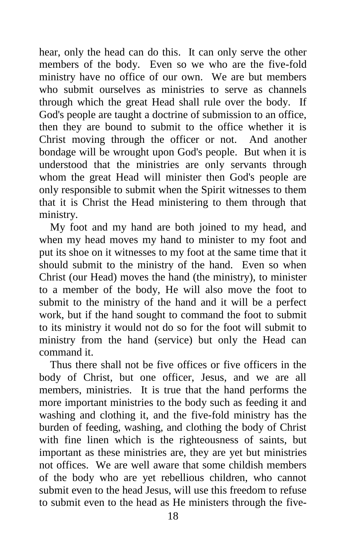hear, only the head can do this. It can only serve the other members of the body. Even so we who are the five-fold ministry have no office of our own. We are but members who submit ourselves as ministries to serve as channels through which the great Head shall rule over the body. If God's people are taught a doctrine of submission to an office, then they are bound to submit to the office whether it is Christ moving through the officer or not. And another bondage will be wrought upon God's people. But when it is understood that the ministries are only servants through whom the great Head will minister then God's people are only responsible to submit when the Spirit witnesses to them that it is Christ the Head ministering to them through that ministry.

 My foot and my hand are both joined to my head, and when my head moves my hand to minister to my foot and put its shoe on it witnesses to my foot at the same time that it should submit to the ministry of the hand. Even so when Christ (our Head) moves the hand (the ministry), to minister to a member of the body, He will also move the foot to submit to the ministry of the hand and it will be a perfect work, but if the hand sought to command the foot to submit to its ministry it would not do so for the foot will submit to ministry from the hand (service) but only the Head can command it.

 Thus there shall not be five offices or five officers in the body of Christ, but one officer, Jesus, and we are all members, ministries. It is true that the hand performs the more important ministries to the body such as feeding it and washing and clothing it, and the five-fold ministry has the burden of feeding, washing, and clothing the body of Christ with fine linen which is the righteousness of saints, but important as these ministries are, they are yet but ministries not offices. We are well aware that some childish members of the body who are yet rebellious children, who cannot submit even to the head Jesus, will use this freedom to refuse to submit even to the head as He ministers through the five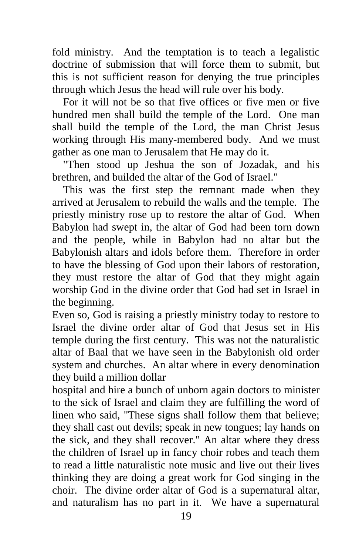fold ministry. And the temptation is to teach a legalistic doctrine of submission that will force them to submit, but this is not sufficient reason for denying the true principles through which Jesus the head will rule over his body.

 For it will not be so that five offices or five men or five hundred men shall build the temple of the Lord. One man shall build the temple of the Lord, the man Christ Jesus working through His many-membered body. And we must gather as one man to Jerusalem that He may do it.

 "Then stood up Jeshua the son of Jozadak, and his brethren, and builded the altar of the God of Israel."

 This was the first step the remnant made when they arrived at Jerusalem to rebuild the walls and the temple. The priestly ministry rose up to restore the altar of God. When Babylon had swept in, the altar of God had been torn down and the people, while in Babylon had no altar but the Babylonish altars and idols before them. Therefore in order to have the blessing of God upon their labors of restoration, they must restore the altar of God that they might again worship God in the divine order that God had set in Israel in the beginning.

Even so, God is raising a priestly ministry today to restore to Israel the divine order altar of God that Jesus set in His temple during the first century. This was not the naturalistic altar of Baal that we have seen in the Babylonish old order system and churches. An altar where in every denomination they build a million dollar

hospital and hire a bunch of unborn again doctors to minister to the sick of Israel and claim they are fulfilling the word of linen who said, "These signs shall follow them that believe; they shall cast out devils; speak in new tongues; lay hands on the sick, and they shall recover." An altar where they dress the children of Israel up in fancy choir robes and teach them to read a little naturalistic note music and live out their lives thinking they are doing a great work for God singing in the choir. The divine order altar of God is a supernatural altar, and naturalism has no part in it. We have a supernatural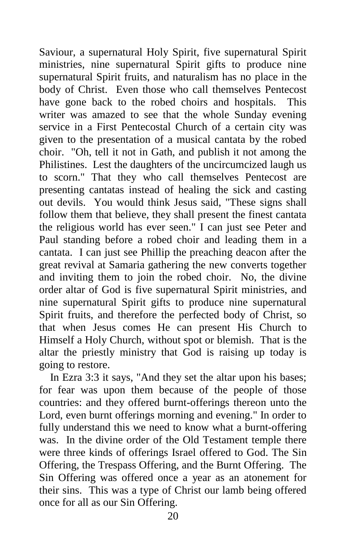Saviour, a supernatural Holy Spirit, five supernatural Spirit ministries, nine supernatural Spirit gifts to produce nine supernatural Spirit fruits, and naturalism has no place in the body of Christ. Even those who call themselves Pentecost have gone back to the robed choirs and hospitals. This writer was amazed to see that the whole Sunday evening service in a First Pentecostal Church of a certain city was given to the presentation of a musical cantata by the robed choir. "Oh, tell it not in Gath, and publish it not among the Philistines. Lest the daughters of the uncircumcized laugh us to scorn." That they who call themselves Pentecost are presenting cantatas instead of healing the sick and casting out devils. You would think Jesus said, "These signs shall follow them that believe, they shall present the finest cantata the religious world has ever seen." I can just see Peter and Paul standing before a robed choir and leading them in a cantata. I can just see Phillip the preaching deacon after the great revival at Samaria gathering the new converts together and inviting them to join the robed choir. No, the divine order altar of God is five supernatural Spirit ministries, and nine supernatural Spirit gifts to produce nine supernatural Spirit fruits, and therefore the perfected body of Christ, so that when Jesus comes He can present His Church to Himself a Holy Church, without spot or blemish. That is the altar the priestly ministry that God is raising up today is going to restore.

 In Ezra 3:3 it says, "And they set the altar upon his bases; for fear was upon them because of the people of those countries: and they offered burnt-offerings thereon unto the Lord, even burnt offerings morning and evening." In order to fully understand this we need to know what a burnt-offering was. In the divine order of the Old Testament temple there were three kinds of offerings Israel offered to God. The Sin Offering, the Trespass Offering, and the Burnt Offering. The Sin Offering was offered once a year as an atonement for their sins. This was a type of Christ our lamb being offered once for all as our Sin Offering.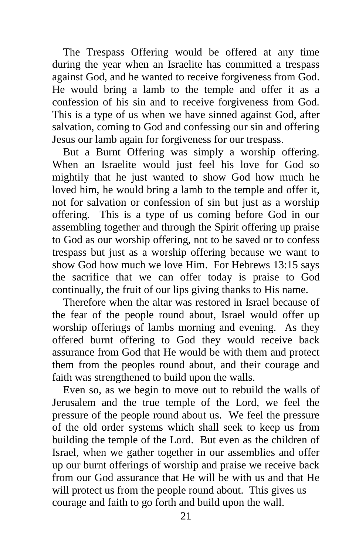The Trespass Offering would be offered at any time during the year when an Israelite has committed a trespass against God, and he wanted to receive forgiveness from God. He would bring a lamb to the temple and offer it as a confession of his sin and to receive forgiveness from God. This is a type of us when we have sinned against God, after salvation, coming to God and confessing our sin and offering Jesus our lamb again for forgiveness for our trespass.

 But a Burnt Offering was simply a worship offering. When an Israelite would just feel his love for God so mightily that he just wanted to show God how much he loved him, he would bring a lamb to the temple and offer it, not for salvation or confession of sin but just as a worship offering. This is a type of us coming before God in our assembling together and through the Spirit offering up praise to God as our worship offering, not to be saved or to confess trespass but just as a worship offering because we want to show God how much we love Him. For Hebrews 13:15 says the sacrifice that we can offer today is praise to God continually, the fruit of our lips giving thanks to His name.

 Therefore when the altar was restored in Israel because of the fear of the people round about, Israel would offer up worship offerings of lambs morning and evening. As they offered burnt offering to God they would receive back assurance from God that He would be with them and protect them from the peoples round about, and their courage and faith was strengthened to build upon the walls.

 Even so, as we begin to move out to rebuild the walls of Jerusalem and the true temple of the Lord, we feel the pressure of the people round about us. We feel the pressure of the old order systems which shall seek to keep us from building the temple of the Lord. But even as the children of Israel, when we gather together in our assemblies and offer up our burnt offerings of worship and praise we receive back from our God assurance that He will be with us and that He will protect us from the people round about. This gives us courage and faith to go forth and build upon the wall.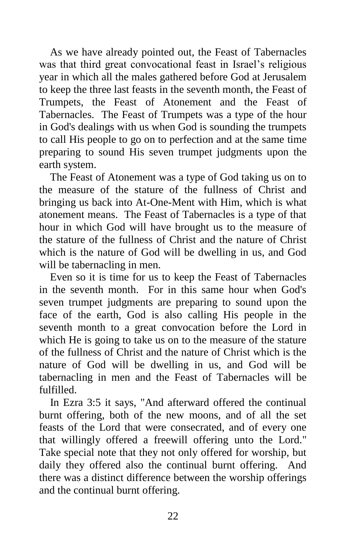As we have already pointed out, the Feast of Tabernacles was that third great convocational feast in Israel's religious year in which all the males gathered before God at Jerusalem to keep the three last feasts in the seventh month, the Feast of Trumpets, the Feast of Atonement and the Feast of Tabernacles. The Feast of Trumpets was a type of the hour in God's dealings with us when God is sounding the trumpets to call His people to go on to perfection and at the same time preparing to sound His seven trumpet judgments upon the earth system.

 The Feast of Atonement was a type of God taking us on to the measure of the stature of the fullness of Christ and bringing us back into At-One-Ment with Him, which is what atonement means. The Feast of Tabernacles is a type of that hour in which God will have brought us to the measure of the stature of the fullness of Christ and the nature of Christ which is the nature of God will be dwelling in us, and God will be tabernacling in men.

 Even so it is time for us to keep the Feast of Tabernacles in the seventh month. For in this same hour when God's seven trumpet judgments are preparing to sound upon the face of the earth, God is also calling His people in the seventh month to a great convocation before the Lord in which He is going to take us on to the measure of the stature of the fullness of Christ and the nature of Christ which is the nature of God will be dwelling in us, and God will be tabernacling in men and the Feast of Tabernacles will be fulfilled.

 In Ezra 3:5 it says, "And afterward offered the continual burnt offering, both of the new moons, and of all the set feasts of the Lord that were consecrated, and of every one that willingly offered a freewill offering unto the Lord." Take special note that they not only offered for worship, but daily they offered also the continual burnt offering. And there was a distinct difference between the worship offerings and the continual burnt offering.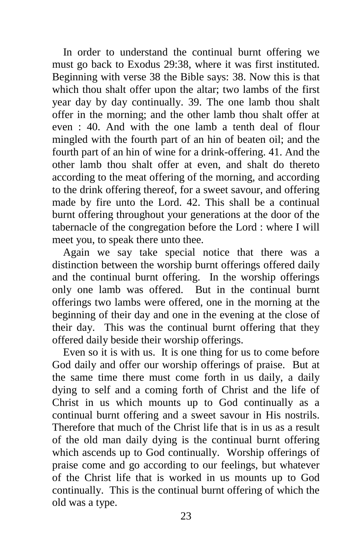In order to understand the continual burnt offering we must go back to Exodus 29:38, where it was first instituted. Beginning with verse 38 the Bible says: 38. Now this is that which thou shalt offer upon the altar; two lambs of the first year day by day continually. 39. The one lamb thou shalt offer in the morning; and the other lamb thou shalt offer at even : 40. And with the one lamb a tenth deal of flour mingled with the fourth part of an hin of beaten oil; and the fourth part of an hin of wine for a drink-offering. 41. And the other lamb thou shalt offer at even, and shalt do thereto according to the meat offering of the morning, and according to the drink offering thereof, for a sweet savour, and offering made by fire unto the Lord. 42. This shall be a continual burnt offering throughout your generations at the door of the tabernacle of the congregation before the Lord : where I will meet you, to speak there unto thee.

 Again we say take special notice that there was a distinction between the worship burnt offerings offered daily and the continual burnt offering. In the worship offerings only one lamb was offered. But in the continual burnt offerings two lambs were offered, one in the morning at the beginning of their day and one in the evening at the close of their day. This was the continual burnt offering that they offered daily beside their worship offerings.

 Even so it is with us. It is one thing for us to come before God daily and offer our worship offerings of praise. But at the same time there must come forth in us daily, a daily dying to self and a coming forth of Christ and the life of Christ in us which mounts up to God continually as a continual burnt offering and a sweet savour in His nostrils. Therefore that much of the Christ life that is in us as a result of the old man daily dying is the continual burnt offering which ascends up to God continually. Worship offerings of praise come and go according to our feelings, but whatever of the Christ life that is worked in us mounts up to God continually. This is the continual burnt offering of which the old was a type.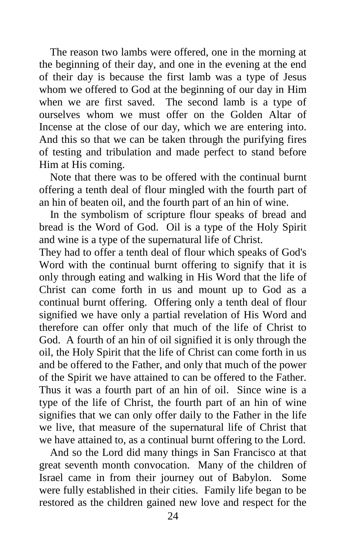The reason two lambs were offered, one in the morning at the beginning of their day, and one in the evening at the end of their day is because the first lamb was a type of Jesus whom we offered to God at the beginning of our day in Him when we are first saved. The second lamb is a type of ourselves whom we must offer on the Golden Altar of Incense at the close of our day, which we are entering into. And this so that we can be taken through the purifying fires of testing and tribulation and made perfect to stand before Him at His coming.

 Note that there was to be offered with the continual burnt offering a tenth deal of flour mingled with the fourth part of an hin of beaten oil, and the fourth part of an hin of wine.

 In the symbolism of scripture flour speaks of bread and bread is the Word of God. Oil is a type of the Holy Spirit and wine is a type of the supernatural life of Christ.

They had to offer a tenth deal of flour which speaks of God's Word with the continual burnt offering to signify that it is only through eating and walking in His Word that the life of Christ can come forth in us and mount up to God as a continual burnt offering. Offering only a tenth deal of flour signified we have only a partial revelation of His Word and therefore can offer only that much of the life of Christ to God. A fourth of an hin of oil signified it is only through the oil, the Holy Spirit that the life of Christ can come forth in us and be offered to the Father, and only that much of the power of the Spirit we have attained to can be offered to the Father. Thus it was a fourth part of an hin of oil. Since wine is a type of the life of Christ, the fourth part of an hin of wine signifies that we can only offer daily to the Father in the life we live, that measure of the supernatural life of Christ that we have attained to, as a continual burnt offering to the Lord.

 And so the Lord did many things in San Francisco at that great seventh month convocation. Many of the children of Israel came in from their journey out of Babylon. Some were fully established in their cities. Family life began to be restored as the children gained new love and respect for the